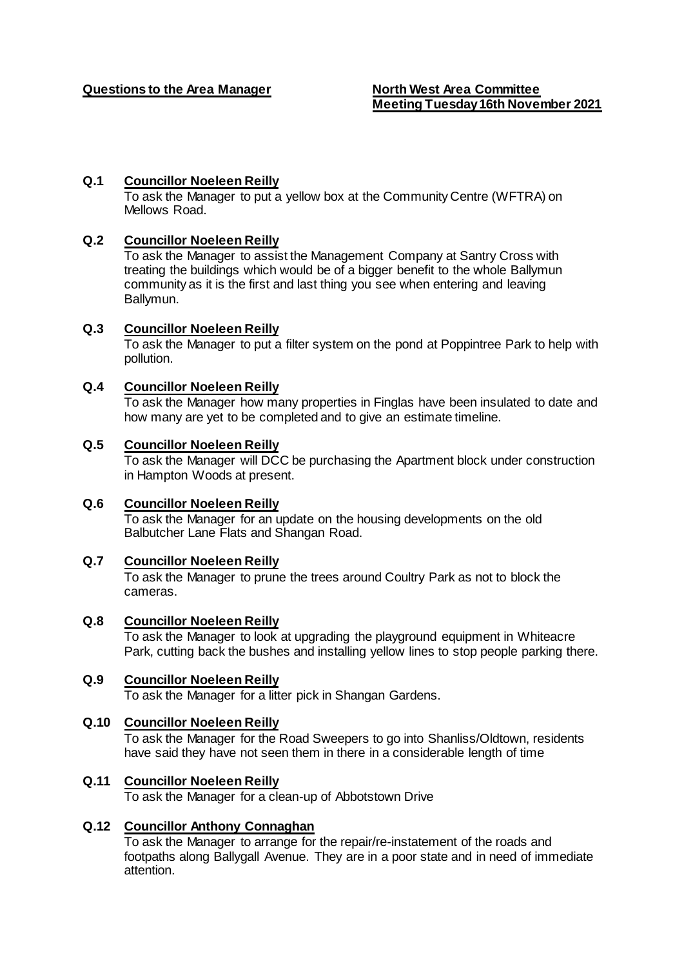### **Q.1 Councillor Noeleen Reilly**

To ask the Manager to put a yellow box at the Community Centre (WFTRA) on Mellows Road.

### **Q.2 Councillor Noeleen Reilly**

To ask the Manager to assist the Management Company at Santry Cross with treating the buildings which would be of a bigger benefit to the whole Ballymun community as it is the first and last thing you see when entering and leaving Ballymun.

## **Q.3 Councillor Noeleen Reilly**

To ask the Manager to put a filter system on the pond at Poppintree Park to help with pollution.

## **Q.4 Councillor Noeleen Reilly**

To ask the Manager how many properties in Finglas have been insulated to date and how many are yet to be completed and to give an estimate timeline.

## **Q.5 Councillor Noeleen Reilly**

To ask the Manager will DCC be purchasing the Apartment block under construction in Hampton Woods at present.

### **Q.6 Councillor Noeleen Reilly**

To ask the Manager for an update on the housing developments on the old Balbutcher Lane Flats and Shangan Road.

#### **Q.7 Councillor Noeleen Reilly**

To ask the Manager to prune the trees around Coultry Park as not to block the cameras.

# **Q.8 Councillor Noeleen Reilly**  To ask the Manager to look at upgrading the playground equipment in Whiteacre

Park, cutting back the bushes and installing yellow lines to stop people parking there.

## **Q.9 Councillor Noeleen Reilly**

To ask the Manager for a litter pick in Shangan Gardens.

# **Q.10 Councillor Noeleen Reilly**

To ask the Manager for the Road Sweepers to go into Shanliss/Oldtown, residents have said they have not seen them in there in a considerable length of time

# **Q.11 Councillor Noeleen Reilly**

To ask the Manager for a clean-up of Abbotstown Drive

# **Q.12 Councillor Anthony Connaghan**

To ask the Manager to arrange for the repair/re-instatement of the roads and footpaths along Ballygall Avenue. They are in a poor state and in need of immediate attention.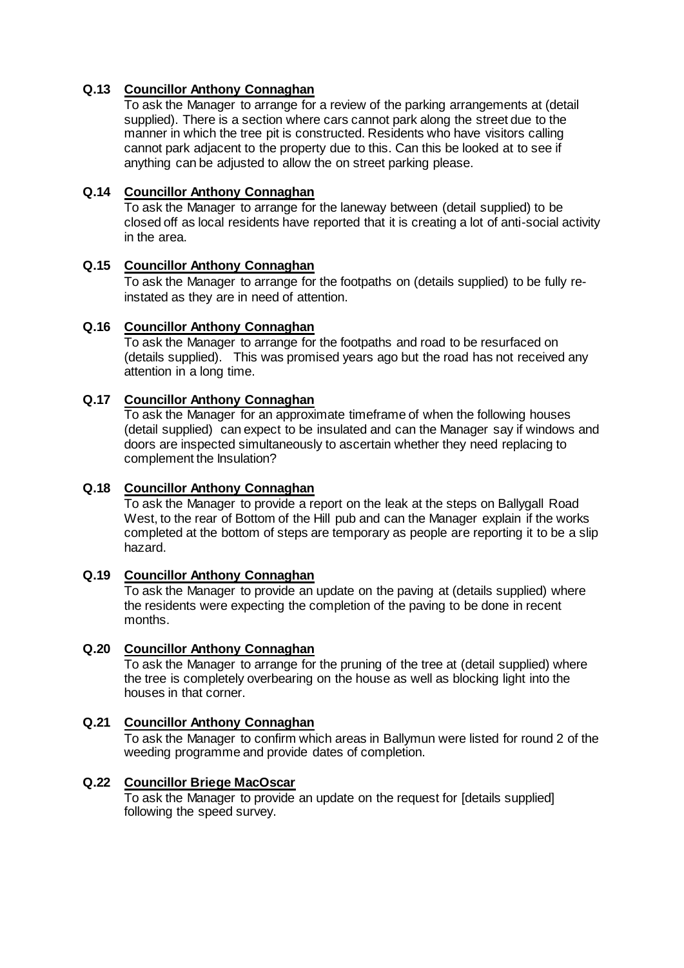## **Q.13 Councillor Anthony Connaghan**

To ask the Manager to arrange for a review of the parking arrangements at (detail supplied). There is a section where cars cannot park along the street due to the manner in which the tree pit is constructed. Residents who have visitors calling cannot park adjacent to the property due to this. Can this be looked at to see if anything can be adjusted to allow the on street parking please.

### **Q.14 Councillor Anthony Connaghan**

To ask the Manager to arrange for the laneway between (detail supplied) to be closed off as local residents have reported that it is creating a lot of anti-social activity in the area.

## **Q.15 Councillor Anthony Connaghan**

To ask the Manager to arrange for the footpaths on (details supplied) to be fully reinstated as they are in need of attention.

## **Q.16 Councillor Anthony Connaghan**

To ask the Manager to arrange for the footpaths and road to be resurfaced on (details supplied). This was promised years ago but the road has not received any attention in a long time.

### **Q.17 Councillor Anthony Connaghan**

To ask the Manager for an approximate timeframe of when the following houses (detail supplied) can expect to be insulated and can the Manager say if windows and doors are inspected simultaneously to ascertain whether they need replacing to complement the Insulation?

#### **Q.18 Councillor Anthony Connaghan**

To ask the Manager to provide a report on the leak at the steps on Ballygall Road West, to the rear of Bottom of the Hill pub and can the Manager explain if the works completed at the bottom of steps are temporary as people are reporting it to be a slip hazard.

### **Q.19 Councillor Anthony Connaghan**

To ask the Manager to provide an update on the paving at (details supplied) where the residents were expecting the completion of the paving to be done in recent months.

#### **Q.20 Councillor Anthony Connaghan**

To ask the Manager to arrange for the pruning of the tree at (detail supplied) where the tree is completely overbearing on the house as well as blocking light into the houses in that corner.

#### **Q.21 Councillor Anthony Connaghan**

To ask the Manager to confirm which areas in Ballymun were listed for round 2 of the weeding programme and provide dates of completion.

#### **Q.22 Councillor Briege MacOscar**

To ask the Manager to provide an update on the request for [details supplied] following the speed survey.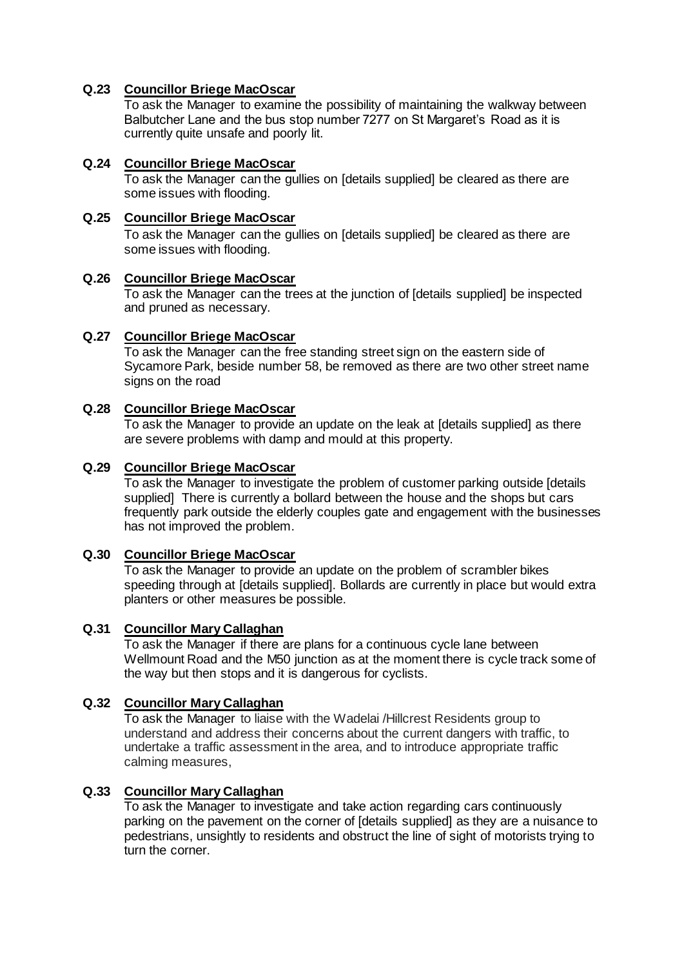## **Q.23 Councillor Briege MacOscar**

To ask the Manager to examine the possibility of maintaining the walkway between Balbutcher Lane and the bus stop number 7277 on St Margaret's Road as it is currently quite unsafe and poorly lit.

#### **Q.24 Councillor Briege MacOscar**

To ask the Manager can the gullies on [details supplied] be cleared as there are some issues with flooding.

### **Q.25 Councillor Briege MacOscar**

To ask the Manager can the gullies on [details supplied] be cleared as there are some issues with flooding.

#### **Q.26 Councillor Briege MacOscar**

To ask the Manager can the trees at the junction of [details supplied] be inspected and pruned as necessary.

#### **Q.27 Councillor Briege MacOscar**

To ask the Manager can the free standing street sign on the eastern side of Sycamore Park, beside number 58, be removed as there are two other street name signs on the road

## **Q.28 Councillor Briege MacOscar**

To ask the Manager to provide an update on the leak at [details supplied] as there are severe problems with damp and mould at this property.

#### **Q.29 Councillor Briege MacOscar**

To ask the Manager to investigate the problem of customer parking outside [details supplied] There is currently a bollard between the house and the shops but cars frequently park outside the elderly couples gate and engagement with the businesses has not improved the problem.

#### **Q.30 Councillor Briege MacOscar**

To ask the Manager to provide an update on the problem of scrambler bikes speeding through at [details supplied]. Bollards are currently in place but would extra planters or other measures be possible.

#### **Q.31 Councillor Mary Callaghan**

To ask the Manager if there are plans for a continuous cycle lane between Wellmount Road and the M50 junction as at the moment there is cycle track some of the way but then stops and it is dangerous for cyclists.

#### **Q.32 Councillor Mary Callaghan**

To ask the Manager to liaise with the Wadelai /Hillcrest Residents group to understand and address their concerns about the current dangers with traffic, to undertake a traffic assessment in the area, and to introduce appropriate traffic calming measures,

### **Q.33 Councillor Mary Callaghan**

To ask the Manager to investigate and take action regarding cars continuously parking on the pavement on the corner of [details supplied] as they are a nuisance to pedestrians, unsightly to residents and obstruct the line of sight of motorists trying to turn the corner.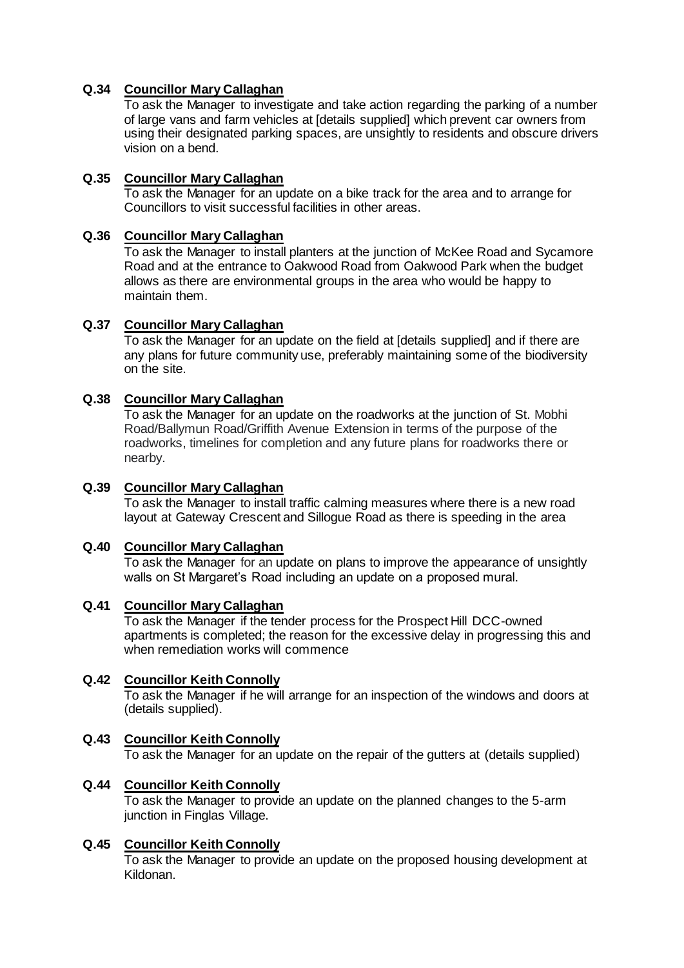## **Q.34 Councillor Mary Callaghan**

To ask the Manager to investigate and take action regarding the parking of a number of large vans and farm vehicles at [details supplied] which prevent car owners from using their designated parking spaces, are unsightly to residents and obscure drivers vision on a bend.

## **Q.35 Councillor Mary Callaghan**

To ask the Manager for an update on a bike track for the area and to arrange for Councillors to visit successful facilities in other areas.

#### **Q.36 Councillor Mary Callaghan**

To ask the Manager to install planters at the junction of McKee Road and Sycamore Road and at the entrance to Oakwood Road from Oakwood Park when the budget allows as there are environmental groups in the area who would be happy to maintain them.

#### **Q.37 Councillor Mary Callaghan**

To ask the Manager for an update on the field at [details supplied] and if there are any plans for future community use, preferably maintaining some of the biodiversity on the site.

### **Q.38 Councillor Mary Callaghan**

To ask the Manager for an update on the roadworks at the junction of St. Mobhi Road/Ballymun Road/Griffith Avenue Extension in terms of the purpose of the roadworks, timelines for completion and any future plans for roadworks there or nearby.

#### **Q.39 Councillor Mary Callaghan**

To ask the Manager to install traffic calming measures where there is a new road layout at Gateway Crescent and Sillogue Road as there is speeding in the area

#### **Q.40 Councillor Mary Callaghan**

To ask the Manager for an update on plans to improve the appearance of unsightly walls on St Margaret's Road including an update on a proposed mural.

#### **Q.41 Councillor Mary Callaghan**

To ask the Manager if the tender process for the Prospect Hill DCC-owned apartments is completed; the reason for the excessive delay in progressing this and when remediation works will commence

#### **Q.42 Councillor Keith Connolly**

To ask the Manager if he will arrange for an inspection of the windows and doors at (details supplied).

#### **Q.43 Councillor Keith Connolly**

To ask the Manager for an update on the repair of the gutters at (details supplied)

#### **Q.44 Councillor Keith Connolly**

To ask the Manager to provide an update on the planned changes to the 5-arm junction in Finglas Village.

#### **Q.45 Councillor Keith Connolly**

To ask the Manager to provide an update on the proposed housing development at Kildonan.